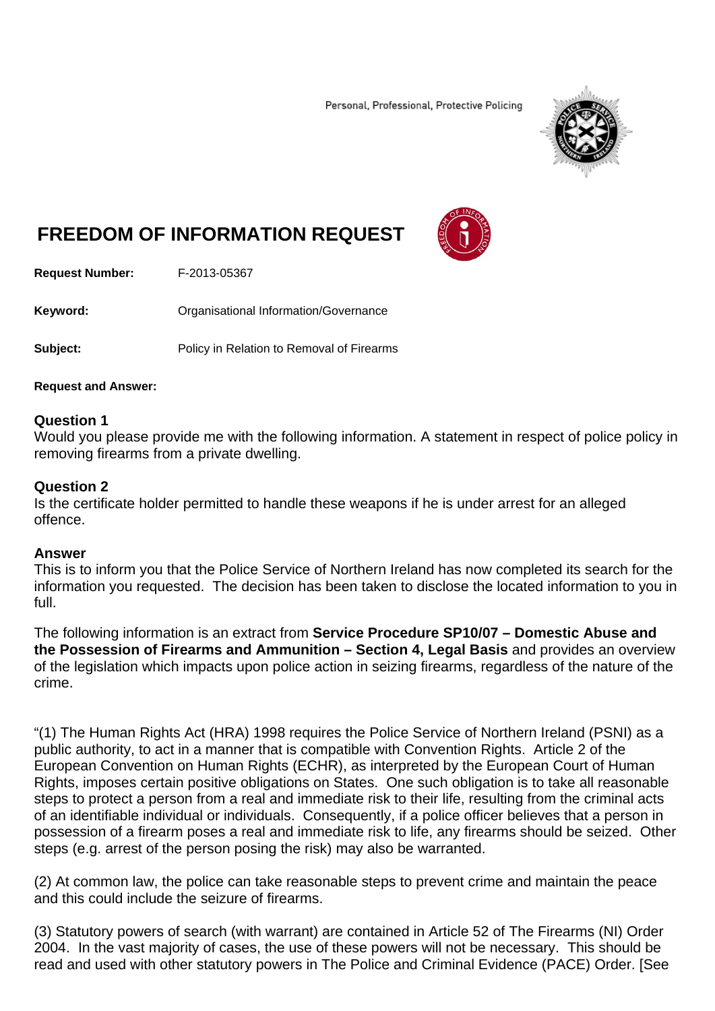Personal, Professional, Protective Policing



# **FREEDOM OF INFORMATION REQUEST**



**Request Number:** F-2013-05367

**Keyword: C**rganisational Information/Governance

**Subject:** Policy in Relation to Removal of Firearms

## **Request and Answer:**

## **Question 1**

Would you please provide me with the following information. A statement in respect of police policy in removing firearms from a private dwelling.

## **Question 2**

Is the certificate holder permitted to handle these weapons if he is under arrest for an alleged offence.

## **Answer**

This is to inform you that the Police Service of Northern Ireland has now completed its search for the information you requested. The decision has been taken to disclose the located information to you in full.

The following information is an extract from **Service Procedure SP10/07 – Domestic Abuse and the Possession of Firearms and Ammunition – Section 4, Legal Basis** and provides an overview of the legislation which impacts upon police action in seizing firearms, regardless of the nature of the crime.

"(1) The Human Rights Act (HRA) 1998 requires the Police Service of Northern Ireland (PSNI) as a public authority, to act in a manner that is compatible with Convention Rights. Article 2 of the European Convention on Human Rights (ECHR), as interpreted by the European Court of Human Rights, imposes certain positive obligations on States. One such obligation is to take all reasonable steps to protect a person from a real and immediate risk to their life, resulting from the criminal acts of an identifiable individual or individuals. Consequently, if a police officer believes that a person in possession of a firearm poses a real and immediate risk to life, any firearms should be seized. Other steps (e.g. arrest of the person posing the risk) may also be warranted.

(2) At common law, the police can take reasonable steps to prevent crime and maintain the peace and this could include the seizure of firearms.

(3) Statutory powers of search (with warrant) are contained in Article 52 of The Firearms (NI) Order 2004. In the vast majority of cases, the use of these powers will not be necessary. This should be read and used with other statutory powers in The Police and Criminal Evidence (PACE) Order. [See